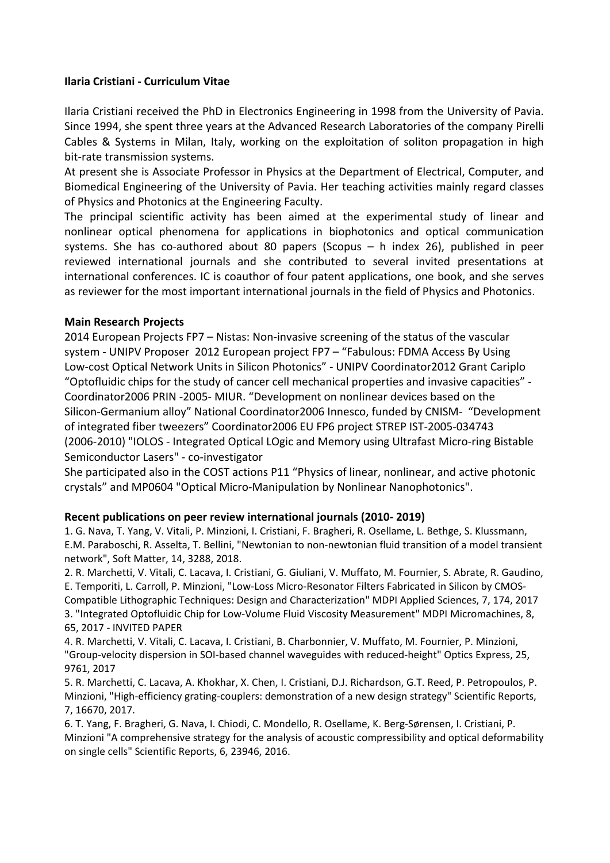## **Ilaria Cristiani ‐ Curriculum Vitae**

Ilaria Cristiani received the PhD in Electronics Engineering in 1998 from the University of Pavia. Since 1994, she spent three years at the Advanced Research Laboratories of the company Pirelli Cables & Systems in Milan, Italy, working on the exploitation of soliton propagation in high bit‐rate transmission systems.

At present she is Associate Professor in Physics at the Department of Electrical, Computer, and Biomedical Engineering of the University of Pavia. Her teaching activities mainly regard classes of Physics and Photonics at the Engineering Faculty.

The principal scientific activity has been aimed at the experimental study of linear and nonlinear optical phenomena for applications in biophotonics and optical communication systems. She has co-authored about 80 papers (Scopus – h index 26), published in peer reviewed international journals and she contributed to several invited presentations at international conferences. IC is coauthor of four patent applications, one book, and she serves as reviewer for the most important international journals in the field of Physics and Photonics.

## **Main Research Projects**

2014 European Projects FP7 – Nistas: Non‐invasive screening of the status of the vascular system - UNIPV Proposer 2012 European project FP7 - "Fabulous: FDMA Access By Using Low‐cost Optical Network Units in Silicon Photonics" ‐ UNIPV Coordinator2012 Grant Cariplo "Optofluidic chips for the study of cancer cell mechanical properties and invasive capacities" ‐ Coordinator2006 PRIN ‐2005‐ MIUR. "Development on nonlinear devices based on the Silicon‐Germanium alloy" National Coordinator2006 Innesco, funded by CNISM‐ "Development of integrated fiber tweezers" Coordinator2006 EU FP6 project STREP IST‐2005‐034743 (2006‐2010) "IOLOS ‐ Integrated Optical LOgic and Memory using Ultrafast Micro‐ring Bistable Semiconductor Lasers" ‐ co‐investigator

She participated also in the COST actions P11 "Physics of linear, nonlinear, and active photonic crystals" and MP0604 "Optical Micro‐Manipulation by Nonlinear Nanophotonics".

## **Recent publications on peer review international journals (2010‐ 2019)**

1. G. Nava, T. Yang, V. Vitali, P. Minzioni, I. Cristiani, F. Bragheri, R. Osellame, L. Bethge, S. Klussmann, E.M. Paraboschi, R. Asselta, T. Bellini, "Newtonian to non‐newtonian fluid transition of a model transient network", Soft Matter, 14, 3288, 2018.

2. R. Marchetti, V. Vitali, C. Lacava, I. Cristiani, G. Giuliani, V. Muffato, M. Fournier, S. Abrate, R. Gaudino, E. Temporiti, L. Carroll, P. Minzioni, "Low‐Loss Micro‐Resonator Filters Fabricated in Silicon by CMOS‐ Compatible Lithographic Techniques: Design and Characterization" MDPI Applied Sciences, 7, 174, 2017 3. "Integrated Optofluidic Chip for Low‐Volume Fluid Viscosity Measurement" MDPI Micromachines, 8, 65, 2017 ‐ INVITED PAPER

4. R. Marchetti, V. Vitali, C. Lacava, I. Cristiani, B. Charbonnier, V. Muffato, M. Fournier, P. Minzioni, "Group‐velocity dispersion in SOI‐based channel waveguides with reduced‐height" Optics Express, 25, 9761, 2017

5. R. Marchetti, C. Lacava, A. Khokhar, X. Chen, I. Cristiani, D.J. Richardson, G.T. Reed, P. Petropoulos, P. Minzioni, "High‐efficiency grating‐couplers: demonstration of a new design strategy" Scientific Reports, 7, 16670, 2017.

6. T. Yang, F. Bragheri, G. Nava, I. Chiodi, C. Mondello, R. Osellame, K. Berg‐Sørensen, I. Cristiani, P. Minzioni "A comprehensive strategy for the analysis of acoustic compressibility and optical deformability on single cells" Scientific Reports, 6, 23946, 2016.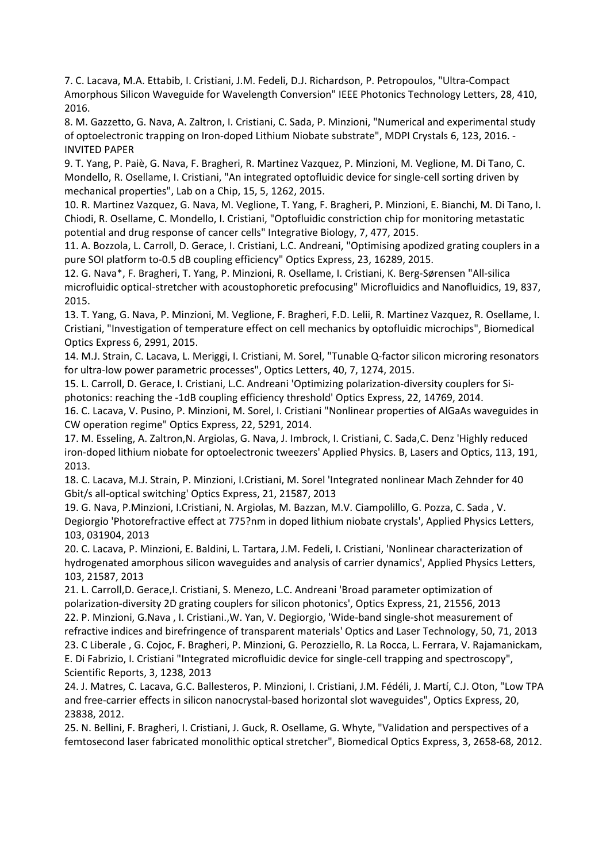7. C. Lacava, M.A. Ettabib, I. Cristiani, J.M. Fedeli, D.J. Richardson, P. Petropoulos, "Ultra‐Compact Amorphous Silicon Waveguide for Wavelength Conversion" IEEE Photonics Technology Letters, 28, 410, 2016.

8. M. Gazzetto, G. Nava, A. Zaltron, I. Cristiani, C. Sada, P. Minzioni, "Numerical and experimental study of optoelectronic trapping on Iron-doped Lithium Niobate substrate", MDPI Crystals 6, 123, 2016. -INVITED PAPER

9. T. Yang, P. Paiè, G. Nava, F. Bragheri, R. Martinez Vazquez, P. Minzioni, M. Veglione, M. Di Tano, C. Mondello, R. Osellame, I. Cristiani, "An integrated optofluidic device for single‐cell sorting driven by mechanical properties", Lab on a Chip, 15, 5, 1262, 2015.

10. R. Martinez Vazquez, G. Nava, M. Veglione, T. Yang, F. Bragheri, P. Minzioni, E. Bianchi, M. Di Tano, I. Chiodi, R. Osellame, C. Mondello, I. Cristiani, "Optofluidic constriction chip for monitoring metastatic potential and drug response of cancer cells" Integrative Biology, 7, 477, 2015.

11. A. Bozzola, L. Carroll, D. Gerace, I. Cristiani, L.C. Andreani, "Optimising apodized grating couplers in a pure SOI platform to‐0.5 dB coupling efficiency" Optics Express, 23, 16289, 2015.

12. G. Nava\*, F. Bragheri, T. Yang, P. Minzioni, R. Osellame, I. Cristiani, K. Berg‐Sørensen "All‐silica microfluidic optical‐stretcher with acoustophoretic prefocusing" Microfluidics and Nanofluidics, 19, 837, 2015.

13. T. Yang, G. Nava, P. Minzioni, M. Veglione, F. Bragheri, F.D. Lelii, R. Martinez Vazquez, R. Osellame, I. Cristiani, "Investigation of temperature effect on cell mechanics by optofluidic microchips", Biomedical Optics Express 6, 2991, 2015.

14. M.J. Strain, C. Lacava, L. Meriggi, I. Cristiani, M. Sorel, "Tunable Q‐factor silicon microring resonators for ultra‐low power parametric processes", Optics Letters, 40, 7, 1274, 2015.

15. L. Carroll, D. Gerace, I. Cristiani, L.C. Andreani 'Optimizing polarization‐diversity couplers for Si‐ photonics: reaching the ‐1dB coupling efficiency threshold' Optics Express, 22, 14769, 2014.

16. C. Lacava, V. Pusino, P. Minzioni, M. Sorel, I. Cristiani "Nonlinear properties of AlGaAs waveguides in CW operation regime" Optics Express, 22, 5291, 2014.

17. M. Esseling, A. Zaltron,N. Argiolas, G. Nava, J. Imbrock, I. Cristiani, C. Sada,C. Denz 'Highly reduced iron‐doped lithium niobate for optoelectronic tweezers' Applied Physics. B, Lasers and Optics, 113, 191, 2013.

18. C. Lacava, M.J. Strain, P. Minzioni, I.Cristiani, M. Sorel 'Integrated nonlinear Mach Zehnder for 40 Gbit/s all‐optical switching' Optics Express, 21, 21587, 2013

19. G. Nava, P.Minzioni, I.Cristiani, N. Argiolas, M. Bazzan, M.V. Ciampolillo, G. Pozza, C. Sada , V. Degiorgio 'Photorefractive effect at 775?nm in doped lithium niobate crystals', Applied Physics Letters, 103, 031904, 2013

20. C. Lacava, P. Minzioni, E. Baldini, L. Tartara, J.M. Fedeli, I. Cristiani, 'Nonlinear characterization of hydrogenated amorphous silicon waveguides and analysis of carrier dynamics', Applied Physics Letters, 103, 21587, 2013

21. L. Carroll, D. Gerace, I. Cristiani, S. Menezo, L.C. Andreani 'Broad parameter optimization of polarization‐diversity 2D grating couplers for silicon photonics', Optics Express, 21, 21556, 2013 22. P. Minzioni, G.Nava , I. Cristiani.,W. Yan, V. Degiorgio, 'Wide‐band single‐shot measurement of refractive indices and birefringence of transparent materials' Optics and Laser Technology, 50, 71, 2013 23. C Liberale , G. Cojoc, F. Bragheri, P. Minzioni, G. Perozziello, R. La Rocca, L. Ferrara, V. Rajamanickam, E. Di Fabrizio, I. Cristiani "Integrated microfluidic device for single‐cell trapping and spectroscopy", Scientific Reports, 3, 1238, 2013

24. J. Matres, C. Lacava, G.C. Ballesteros, P. Minzioni, I. Cristiani, J.M. Fédéli, J. Martí, C.J. Oton, "Low TPA and free‐carrier effects in silicon nanocrystal‐based horizontal slot waveguides", Optics Express, 20, 23838, 2012.

25. N. Bellini, F. Bragheri, I. Cristiani, J. Guck, R. Osellame, G. Whyte, "Validation and perspectives of a femtosecond laser fabricated monolithic optical stretcher", Biomedical Optics Express, 3, 2658‐68, 2012.